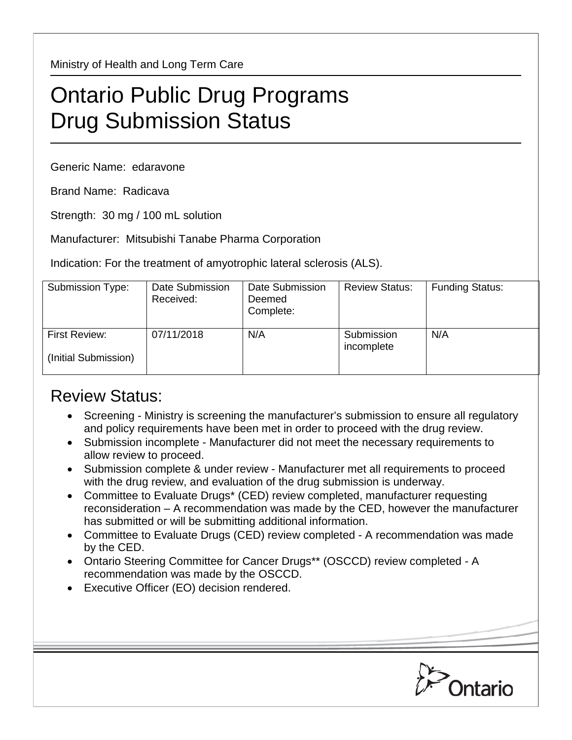Ministry of Health and Long Term Care

## Ontario Public Drug Programs Drug Submission Status

Generic Name: edaravone

Brand Name: Radicava

Strength: 30 mg / 100 mL solution

Manufacturer: Mitsubishi Tanabe Pharma Corporation

Indication: For the treatment of amyotrophic lateral sclerosis (ALS).

| Submission Type:                      | Date Submission<br>Received: | Date Submission<br>Deemed<br>Complete: | <b>Review Status:</b>    | <b>Funding Status:</b> |
|---------------------------------------|------------------------------|----------------------------------------|--------------------------|------------------------|
| First Review:<br>(Initial Submission) | 07/11/2018                   | N/A                                    | Submission<br>incomplete | N/A                    |

## Review Status:

- Screening Ministry is screening the manufacturer's submission to ensure all regulatory and policy requirements have been met in order to proceed with the drug review.
- Submission incomplete Manufacturer did not meet the necessary requirements to allow review to proceed.
- Submission complete & under review Manufacturer met all requirements to proceed with the drug review, and evaluation of the drug submission is underway.
- Committee to Evaluate Drugs\* (CED) review completed, manufacturer requesting reconsideration – A recommendation was made by the CED, however the manufacturer has submitted or will be submitting additional information.
- Committee to Evaluate Drugs (CED) review completed A recommendation was made by the CED.
- Ontario Steering Committee for Cancer Drugs\*\* (OSCCD) review completed A recommendation was made by the OSCCD.
- Executive Officer (EO) decision rendered.